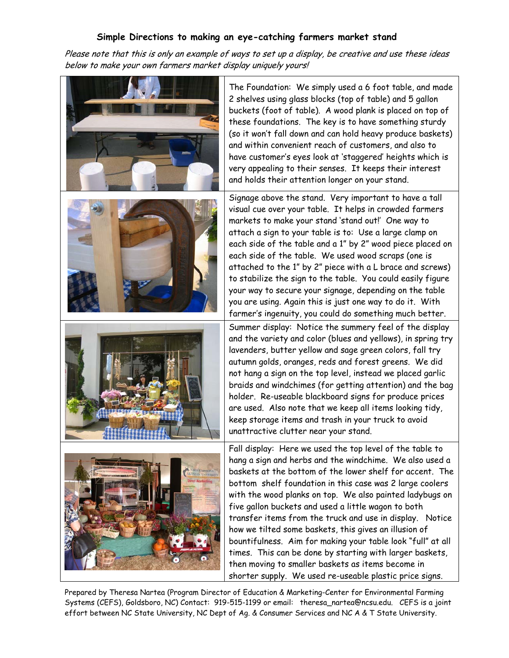## **Simple Directions to making an eye-catching farmers market stand**

Please note that this is only an example of ways to set up a display, be creative and use these ideas below to make your own farmers market display uniquely yours!



The Foundation: We simply used a 6 foot table, and made 2 shelves using glass blocks (top of table) and 5 gallon buckets (foot of table). A wood plank is placed on top of these foundations. The key is to have something sturdy (so it won't fall down and can hold heavy produce baskets) and within convenient reach of customers, and also to have customer's eyes look at 'staggered' heights which is very appealing to their senses. It keeps their interest and holds their attention longer on your stand.

Signage above the stand. Very important to have a tall visual cue over your table. It helps in crowded farmers markets to make your stand 'stand out!' One way to attach a sign to your table is to: Use a large clamp on each side of the table and a 1" by 2" wood piece placed on each side of the table. We used wood scraps (one is attached to the 1" by 2" piece with a L brace and screws) to stabilize the sign to the table. You could easily figure your way to secure your signage, depending on the table you are using. Again this is just one way to do it. With farmer's ingenuity, you could do something much better. Summer display: Notice the summery feel of the display and the variety and color (blues and yellows), in spring try lavenders, butter yellow and sage green colors, fall try autumn golds, oranges, reds and forest greens. We did not hang a sign on the top level, instead we placed garlic braids and windchimes (for getting attention) and the bag holder. Re-useable blackboard signs for produce prices are used. Also note that we keep all items looking tidy, keep storage items and trash in your truck to avoid unattractive clutter near your stand.

Fall display: Here we used the top level of the table to hang a sign and herbs and the windchime. We also used a baskets at the bottom of the lower shelf for accent. The bottom shelf foundation in this case was 2 large coolers with the wood planks on top. We also painted ladybugs on five gallon buckets and used a little wagon to both transfer items from the truck and use in display. Notice how we tilted some baskets, this gives an illusion of bountifulness. Aim for making your table look "full" at all times. This can be done by starting with larger baskets, then moving to smaller baskets as items become in shorter supply. We used re-useable plastic price signs.

Prepared by Theresa Nartea (Program Director of Education & Marketing-Center for Environmental Farming Systems (CEFS), Goldsboro, NC) Contact: 919-515-1199 or email: theresa\_nartea@ncsu.edu. CEFS is a joint effort between NC State University, NC Dept of Ag. & Consumer Services and NC A & T State University.